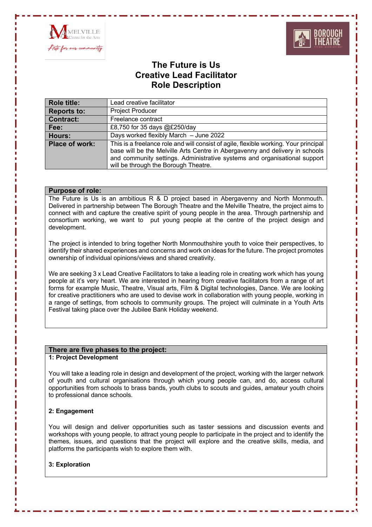



# **The Future is Us Creative Lead Facilitator Role Description**

| <b>Role title:</b>    | Lead creative facilitator                                                                                                                                                                                                                                                                 |
|-----------------------|-------------------------------------------------------------------------------------------------------------------------------------------------------------------------------------------------------------------------------------------------------------------------------------------|
| <b>Reports to:</b>    | <b>Project Producer</b>                                                                                                                                                                                                                                                                   |
| <b>Contract:</b>      | Freelance contract                                                                                                                                                                                                                                                                        |
| Fee:                  | £8,750 for 35 days @£250/day                                                                                                                                                                                                                                                              |
| Hours:                | Days worked flexibly March - June 2022                                                                                                                                                                                                                                                    |
| <b>Place of work:</b> | This is a freelance role and will consist of agile, flexible working. Your principal<br>base will be the Melville Arts Centre in Abergavenny and delivery in schools<br>and community settings. Administrative systems and organisational support<br>will be through the Borough Theatre. |

# **Purpose of role:**

The Future is Us is an ambitious R & D project based in Abergavenny and North Monmouth. Delivered in partnership between The Borough Theatre and the Melville Theatre, the project aims to connect with and capture the creative spirit of young people in the area. Through partnership and consortium working, we want to put young people at the centre of the project design and development.

The project is intended to bring together North Monmouthshire youth to voice their perspectives, to identify their shared experiences and concerns and work on ideas for the future. The project promotes ownership of individual opinions/views and shared creativity.

We are seeking 3 x Lead Creative Facilitators to take a leading role in creating work which has young people at it's very heart. We are interested in hearing from creative facilitators from a range of art forms for example Music, Theatre, Visual arts, Film & Digital technologies, Dance. We are looking for creative practitioners who are used to devise work in collaboration with young people, working in a range of settings, from schools to community groups. The project will culminate in a Youth Arts Festival taking place over the Jubilee Bank Holiday weekend.

# **There are five phases to the project:**

# **1: Project Development**

You will take a leading role in design and development of the project, working with the larger network of youth and cultural organisations through which young people can, and do, access cultural opportunities from schools to brass bands, youth clubs to scouts and guides, amateur youth choirs to professional dance schools.

# **2: Engagement**

You will design and deliver opportunities such as taster sessions and discussion events and workshops with young people, to attract young people to participate in the project and to identify the themes, issues, and questions that the project will explore and the creative skills, media, and platforms the participants wish to explore them with.

# **3: Exploration**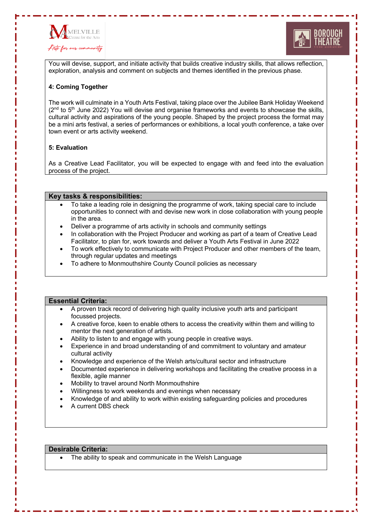



You will devise, support, and initiate activity that builds creative industry skills, that allows reflection, exploration, analysis and comment on subjects and themes identified in the previous phase.

# **4: Coming Together**

The work will culminate in a Youth Arts Festival, taking place over the Jubilee Bank Holiday Weekend  $(2<sup>nd</sup>$  to  $5<sup>th</sup>$  June 2022) You will devise and organise frameworks and events to showcase the skills, cultural activity and aspirations of the young people. Shaped by the project process the format may be a mini arts festival, a series of performances or exhibitions, a local youth conference, a take over town event or arts activity weekend.

# **5: Evaluation**

As a Creative Lead Facilitator, you will be expected to engage with and feed into the evaluation process of the project.

## **Key tasks & responsibilities:**

- To take a leading role in designing the programme of work, taking special care to include opportunities to connect with and devise new work in close collaboration with young people in the area.
- Deliver a programme of arts activity in schools and community settings
- In collaboration with the Project Producer and working as part of a team of Creative Lead Facilitator, to plan for, work towards and deliver a Youth Arts Festival in June 2022
- To work effectively to communicate with Project Producer and other members of the team, through regular updates and meetings
- To adhere to Monmouthshire County Council policies as necessary

### **Essential Criteria:**

- A proven track record of delivering high quality inclusive youth arts and participant focussed projects.
- A creative force, keen to enable others to access the creativity within them and willing to mentor the next generation of artists.
- Ability to listen to and engage with young people in creative ways.
- Experience in and broad understanding of and commitment to voluntary and amateur cultural activity
- Knowledge and experience of the Welsh arts/cultural sector and infrastructure
- Documented experience in delivering workshops and facilitating the creative process in a flexible, agile manner
- Mobility to travel around North Monmouthshire
- Willingness to work weekends and evenings when necessary
- Knowledge of and ability to work within existing safeguarding policies and procedures
- A current DBS check

#### **Desirable Criteria:**

The ability to speak and communicate in the Welsh Language